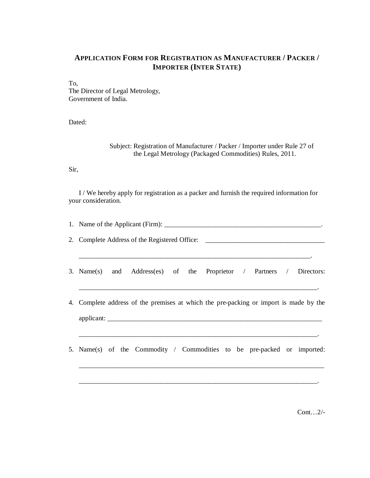## **APPLICATION FORM FOR REGISTRATION AS MANUFACTURER / PACKER / IMPORTER (INTER STATE)**

To, The Director of Legal Metrology, Government of India.

Dated:

Subject: Registration of Manufacturer / Packer / Importer under Rule 27 of the Legal Metrology (Packaged Commodities) Rules, 2011.

Sir,

I / We hereby apply for registration as a packer and furnish the required information for your consideration.

| 2. Complete Address of the Registered Office: __________________________________      |
|---------------------------------------------------------------------------------------|
| 3. Name(s) and Address(es) of the Proprietor / Partners / Directors:                  |
| 4. Complete address of the premises at which the pre-packing or import is made by the |
| 5. Name(s) of the Commodity / Commodities to be pre-packed or imported:               |

\_\_\_\_\_\_\_\_\_\_\_\_\_\_\_\_\_\_\_\_\_\_\_\_\_\_\_\_\_\_\_\_\_\_\_\_\_\_\_\_\_\_\_\_\_\_\_\_\_\_\_\_\_\_\_\_\_\_\_\_\_\_\_\_\_\_\_\_\_\_.

Cont…2/-